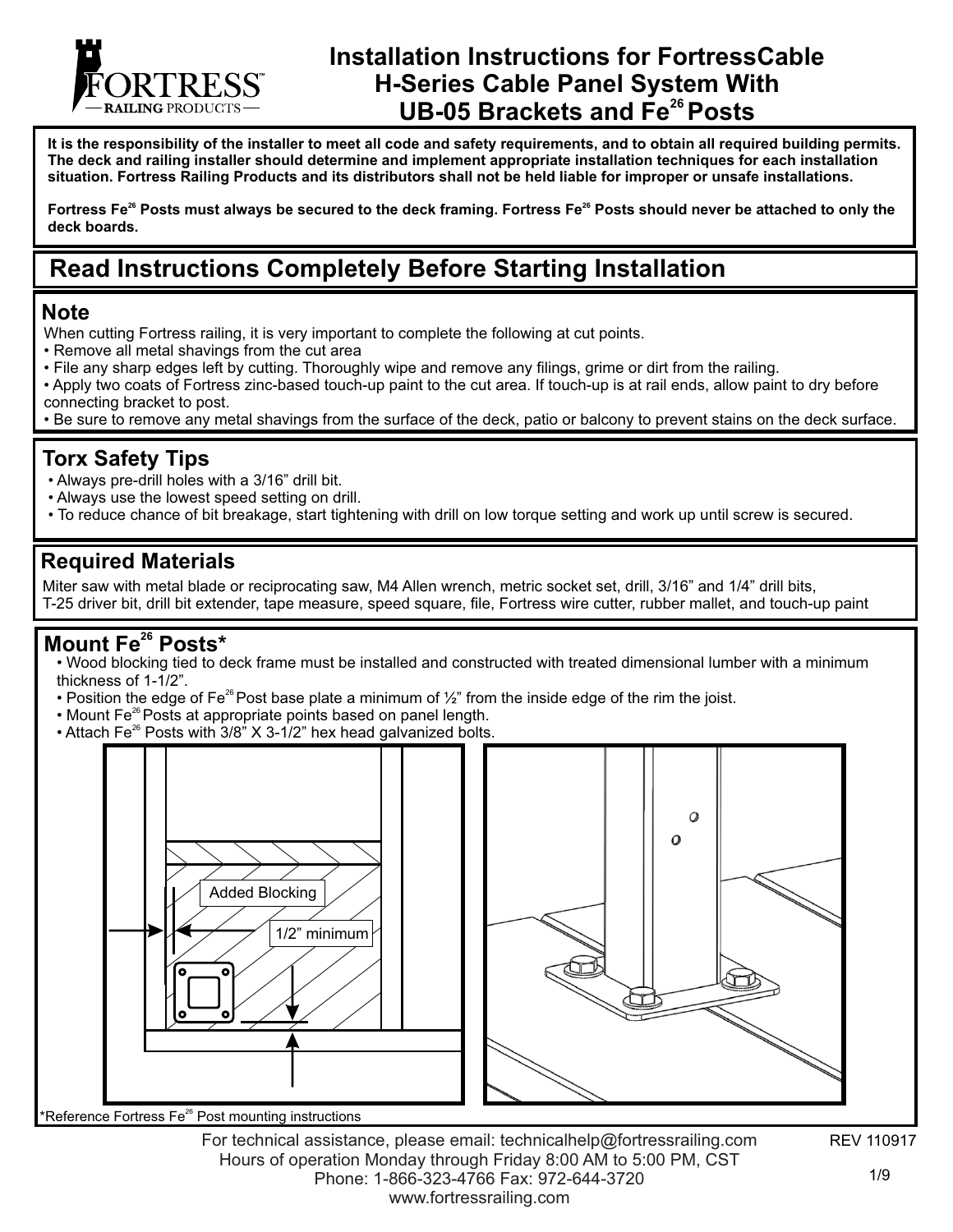

# **Installation Instructions for FortressCable H-Series Cable Panel System With <sup>26</sup>UB-05 Brackets and Fe Posts**

**It is the responsibility of the installer to meet all code and safety requirements, and to obtain all required building permits. The deck and railing installer should determine and implement appropriate installation techniques for each installation situation. Fortress Railing Products and its distributors shall not be held liable for improper or unsafe installations.**

Fortress Fe<sup>26</sup> Posts must always be secured to the deck framing. Fortress Fe<sup>26</sup> Posts should never be attached to only the **deck boards.**

# **Read Instructions Completely Before Starting Installation**

#### **Note**

- When cutting Fortress railing, it is very important to complete the following at cut points.
- Remove all metal shavings from the cut area
- File any sharp edges left by cutting. Thoroughly wipe and remove any filings, grime or dirt from the railing.
- Apply two coats of Fortress zinc-based touch-up paint to the cut area. If touch-up is at rail ends, allow paint to dry before connecting bracket to post.
- Be sure to remove any metal shavings from the surface of the deck, patio or balcony to prevent stains on the deck surface.

#### **Torx Safety Tips**

- Always pre-drill holes with a 3/16" drill bit.
- Always use the lowest speed setting on drill.
- To reduce chance of bit breakage, start tightening with drill on low torque setting and work up until screw is secured.

#### **Required Materials**

Miter saw with metal blade or reciprocating saw, M4 Allen wrench, metric socket set, drill, 3/16" and 1/4" drill bits, T-25 driver bit, drill bit extender, tape measure, speed square, file, Fortress wire cutter, rubber mallet, and touch-up paint

#### **Mount Fe<sup>26</sup> Posts\***

• Wood blocking tied to deck frame must be installed and constructed with treated dimensional lumber with a minimum thickness of 1-1/2".

- Position the edge of Fe<sup>26</sup> Post base plate a minimum of  $\frac{1}{2}$ " from the inside edge of the rim the joist.
- Mount Fe<sup>26</sup> Posts at appropriate points based on panel length.
- Attach Fe<sup>26</sup> Posts with 3/8" X 3-1/2" hex head galvanized bolts.



Reference Fortress Fe<sup>26</sup> Post mounting instructions

REV 110917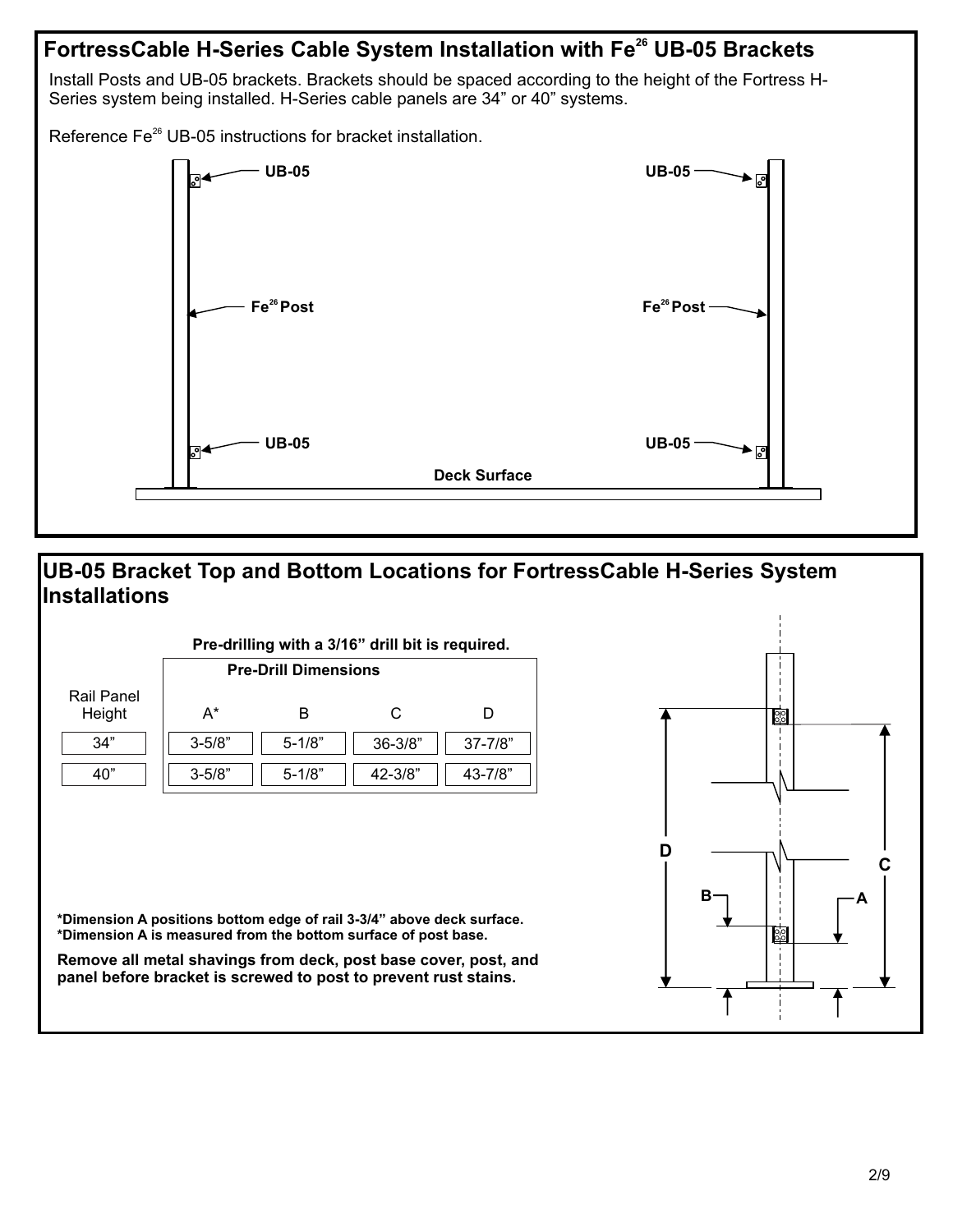

#### **UB-05 Bracket Top and Bottom Locations for FortressCable H-Series System Installations**

| Pre-drilling with a 3/16" drill bit is required. |                             |            |             |              |
|--------------------------------------------------|-----------------------------|------------|-------------|--------------|
|                                                  | <b>Pre-Drill Dimensions</b> |            |             |              |
| Rail Panel<br>Height                             | A*                          | в          | C           |              |
| 34"                                              | $3 - 5/8"$                  | $5 - 1/8"$ | $36 - 3/8"$ | $37 - 7/8"$  |
| 40"                                              | $3 - 5/8"$                  | $5 - 1/8"$ | $42 - 3/8"$ | $43 - 7/8$ " |



**\*Dimension A positions bottom edge of rail 3-3/4" above deck surface. \*Dimension A is measured from the bottom surface of post base.**

**Remove all metal shavings from deck, post base cover, post, and panel before bracket is screwed to post to prevent rust stains.**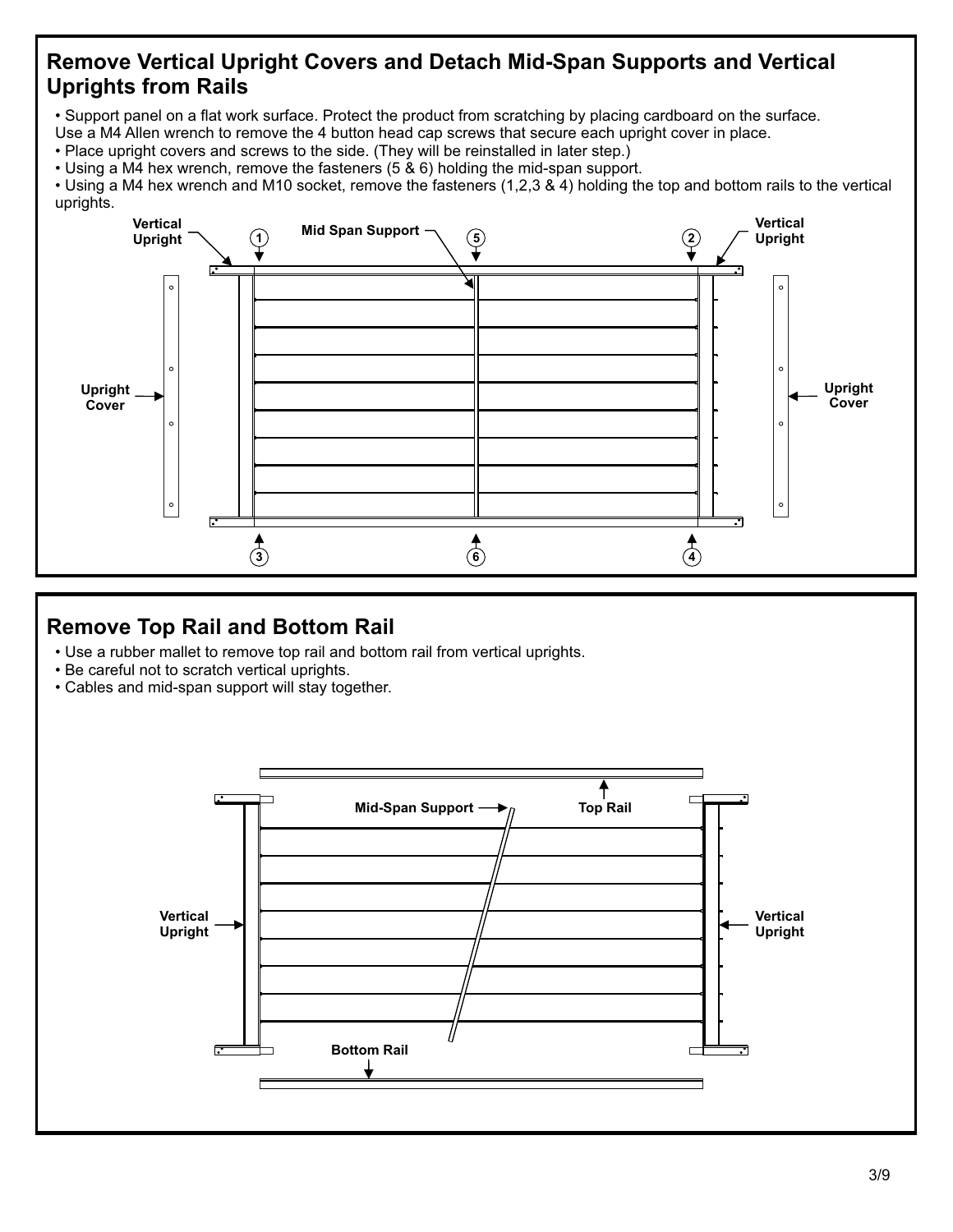## **Remove Vertical Upright Covers and Detach Mid-Span Supports and Vertical Uprights from Rails**

• Support panel on a flat work surface. Protect the product from scratching by placing cardboard on the surface.

- Use a M4 Allen wrench to remove the 4 button head cap screws that secure each upright cover in place.
- Place upright covers and screws to the side. (They will be reinstalled in later step.)
- Using a M4 hex wrench, remove the fasteners (5 & 6) holding the mid-span support.

• Using a M4 hex wrench and M10 socket, remove the fasteners (1,2,3 & 4) holding the top and bottom rails to the vertical uprights.



## **Remove Top Rail and Bottom Rail**

- Use a rubber mallet to remove top rail and bottom rail from vertical uprights.
- Be careful not to scratch vertical uprights.
- Cables and mid-span support will stay together.

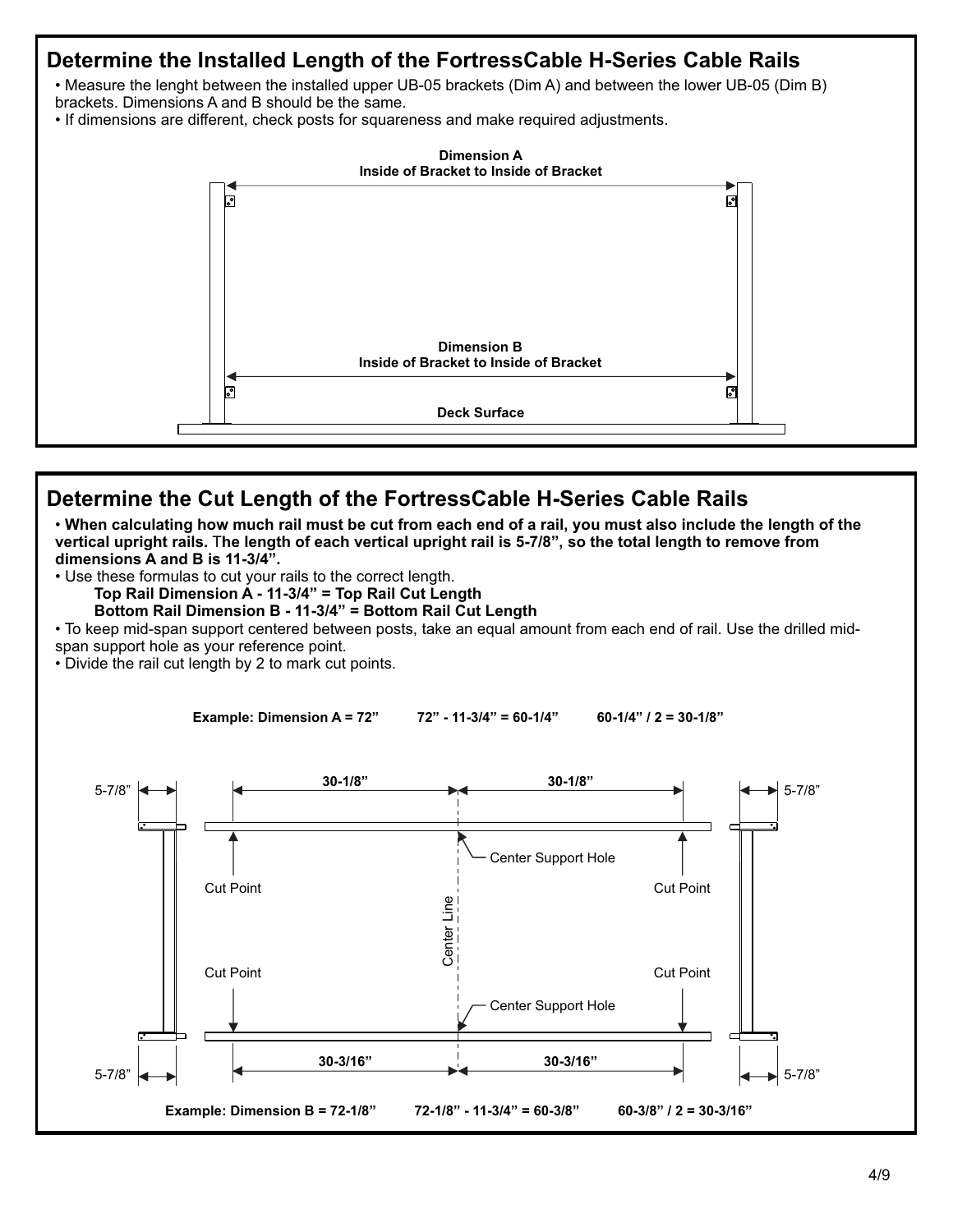# **Determine the Installed Length of the FortressCable H-Series Cable Rails** • Measure the lenght between the installed upper UB-05 brackets (Dim A) and between the lower UB-05 (Dim B) brackets. Dimensions A and B should be the same. • If dimensions are different, check posts for squareness and make required adjustments. **Dimension A Inside of Bracket to Inside of Bracket** ᇬ ក្ដ្ **Dimension B Inside of Bracket to Inside of Bracket** ा S **Deck Surface**

## **Determine the Cut Length of the FortressCable H-Series Cable Rails**

• **When calculating how much rail must be cut from each end of a rail, you must also include the length of the vertical upright rails.** T**he length of each vertical upright rail is 5-7/8", so the total length to remove from dimensions A and B is 11-3/4".**

• Use these formulas to cut your rails to the correct length.

**Top Rail Dimension A - 11-3/4" = Top Rail Cut Length** 

 **Bottom Rail Dimension B - 11-3/4" = Bottom Rail Cut Length**

• To keep mid-span support centered between posts, take an equal amount from each end of rail. Use the drilled midspan support hole as your reference point.

• Divide the rail cut length by 2 to mark cut points.

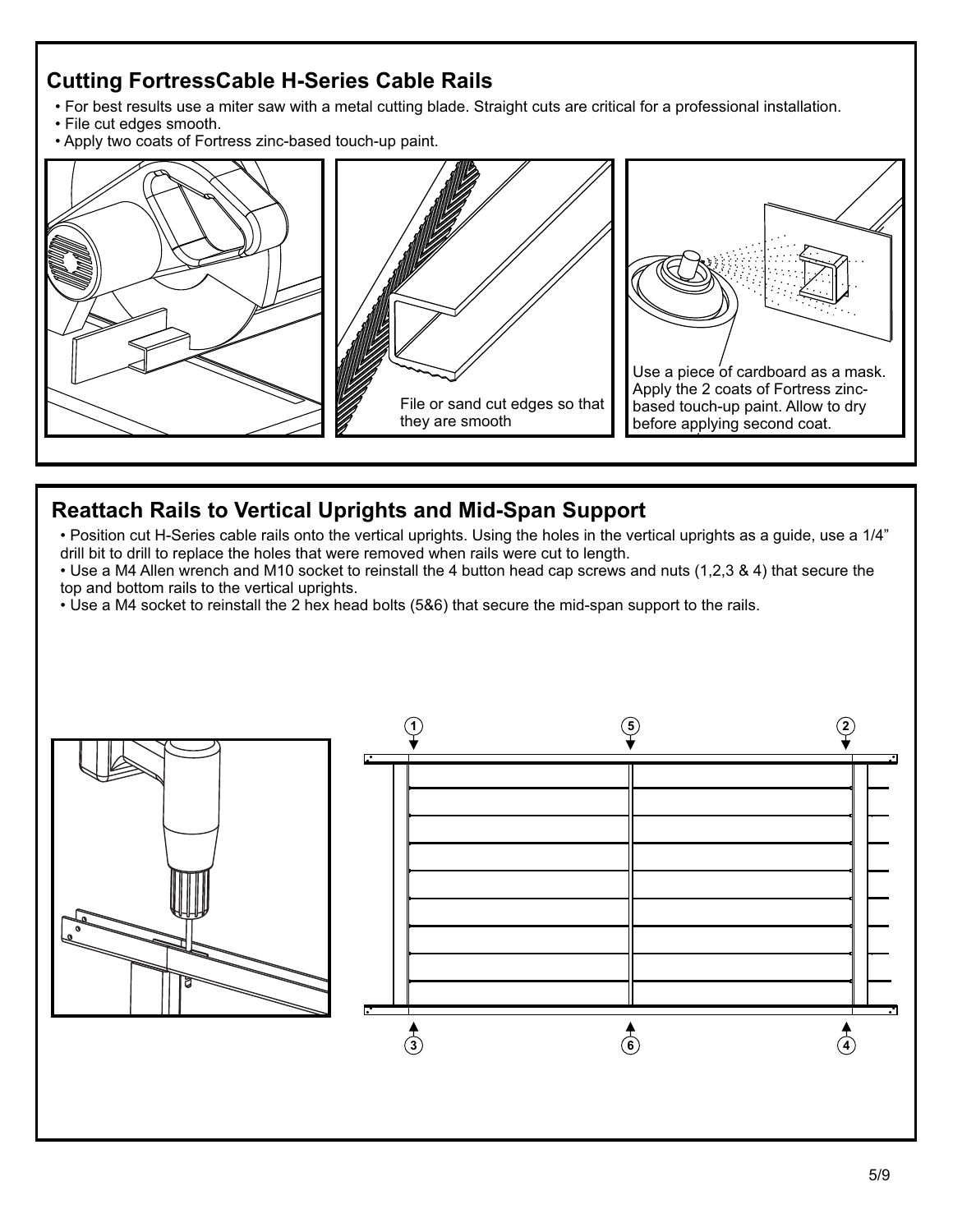# **Cutting FortressCable H-Series Cable Rails**

- For best results use a miter saw with a metal cutting blade. Straight cuts are critical for a professional installation.
- File cut edges smooth.
- Apply two coats of Fortress zinc-based touch-up paint.



## **Reattach Rails to Vertical Uprights and Mid-Span Support**

- Position cut H-Series cable rails onto the vertical uprights. Using the holes in the vertical uprights as a guide, use a 1/4" drill bit to drill to replace the holes that were removed when rails were cut to length.
- Use a M4 Allen wrench and M10 socket to reinstall the 4 button head cap screws and nuts (1,2,3 & 4) that secure the top and bottom rails to the vertical uprights.
- Use a M4 socket to reinstall the 2 hex head bolts (5&6) that secure the mid-span support to the rails.

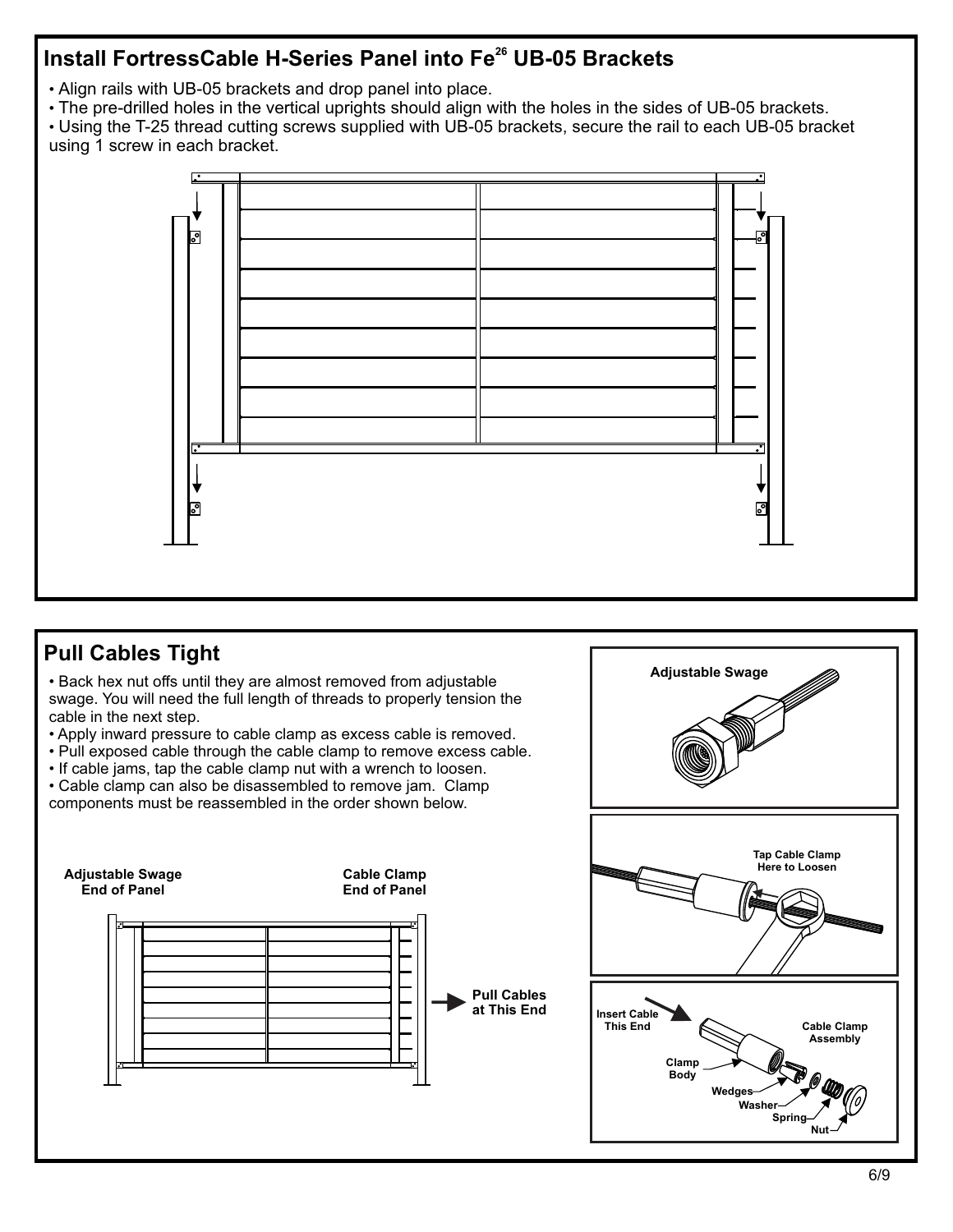# **Install FortressCable H-Series Panel into Fe<sup>26</sup> UB-05 Brackets**

- Align rails with UB-05 brackets and drop panel into place.
- The pre-drilled holes in the vertical uprights should align with the holes in the sides of UB-05 brackets.

• Using the T-25 thread cutting screws supplied with UB-05 brackets, secure the rail to each UB-05 bracket using 1 screw in each bracket.



## **Pull Cables Tight**

• Back hex nut offs until they are almost removed from adjustable swage. You will need the full length of threads to properly tension the cable in the next step.

- Apply inward pressure to cable clamp as excess cable is removed.
- Pull exposed cable through the cable clamp to remove excess cable.
- If cable jams, tap the cable clamp nut with a wrench to loosen.

• Cable clamp can also be disassembled to remove jam. Clamp components must be reassembled in the order shown below.



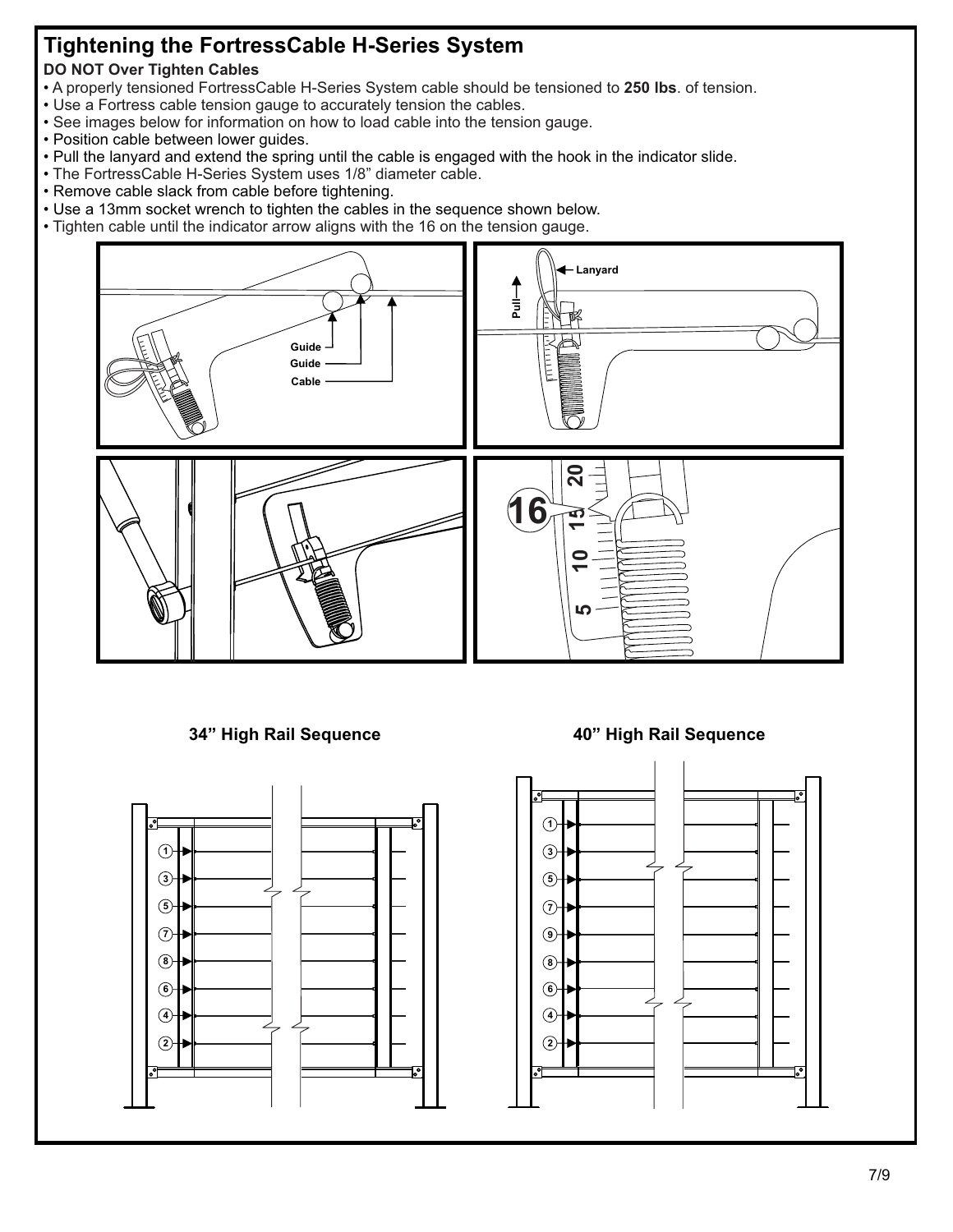# **Tightening the FortressCable H-Series System**

#### **DO NOT Over Tighten Cables**

- A properly tensioned FortressCable H-Series System cable should be tensioned to **250 lbs**. of tension.
- Use a Fortress cable tension gauge to accurately tension the cables.
- See images below for information on how to load cable into the tension gauge.
- Position cable between lower guides.
- Pull the lanyard and extend the spring until the cable is engaged with the hook in the indicator slide.
- The FortressCable H-Series System uses 1/8" diameter cable.
- Remove cable slack from cable before tightening.
- Use a 13mm socket wrench to tighten the cables in the sequence shown below.
- Tighten cable until the indicator arrow aligns with the 16 on the tension gauge.



#### **34" High Rail Sequence 40" High Rail Sequence**



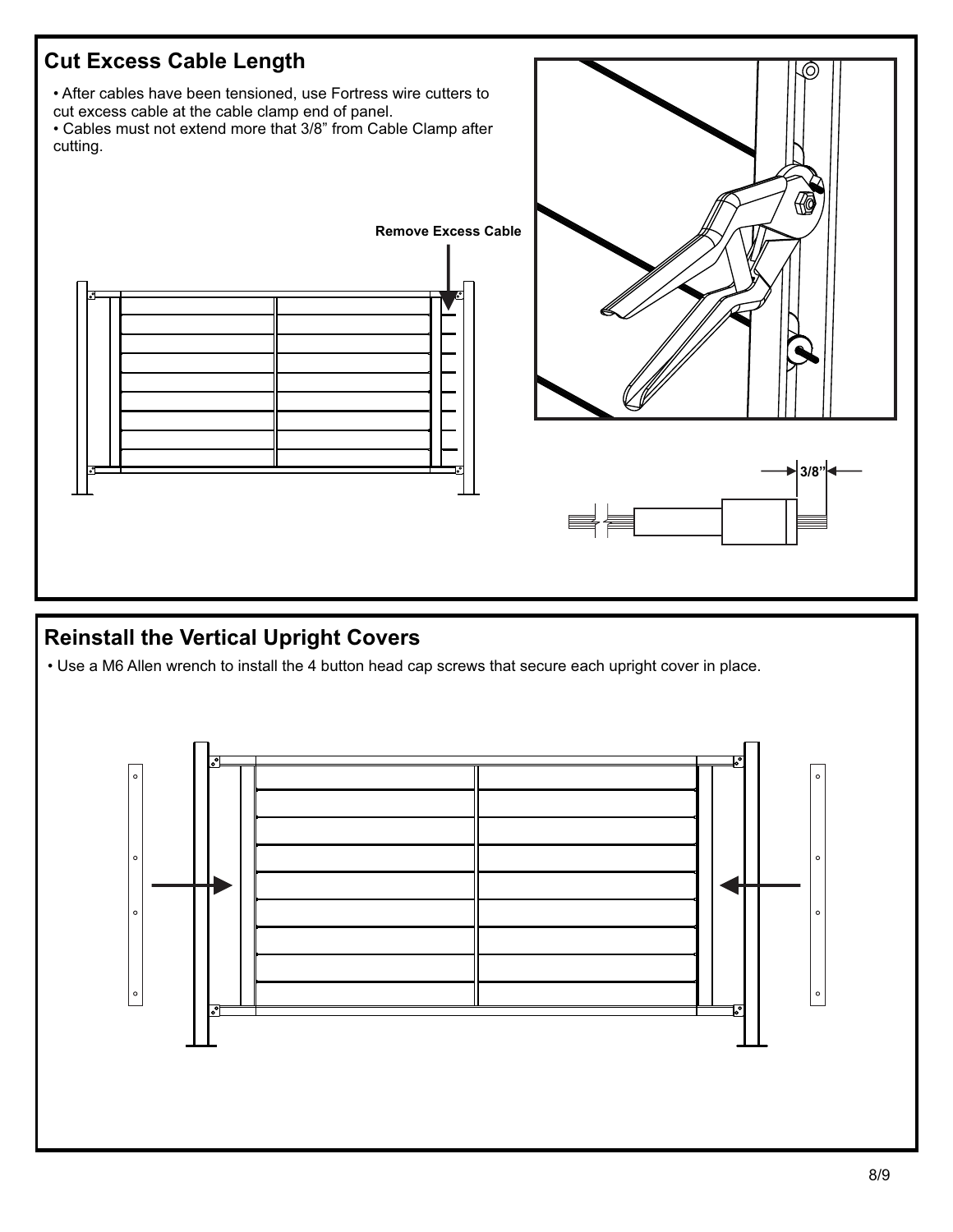

# **Reinstall the Vertical Upright Covers**

• Use a M6 Allen wrench to install the 4 button head cap screws that secure each upright cover in place.